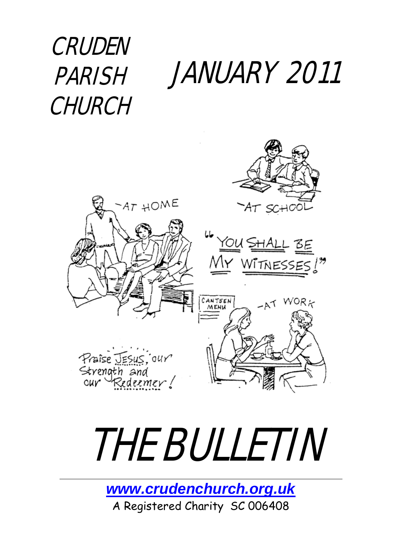JANUARY 2011 **CRUDEN** PARISH CHURCH



# THE BULLETIN

*[www.crudenchurch.org.uk](http://www.crudenchurch.org.uk/)* A Registered Charity SC 006408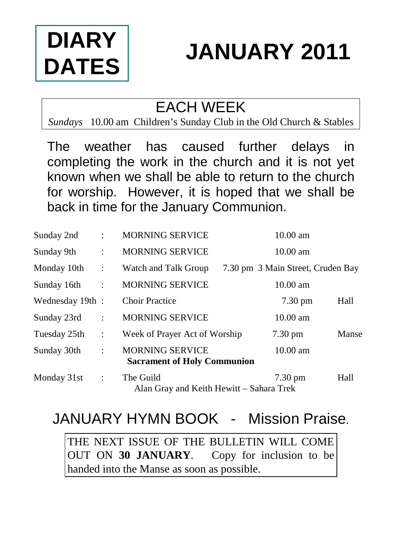# **DIARY DATES**

# **JANUARY 2011**

# EACH WEEK

*Sundays* 10.00 am Children's Sunday Club in the Old Church & Stables

The weather has caused further delays in completing the work in the church and it is not yet known when we shall be able to return to the church for worship. However, it is hoped that we shall be back in time for the January Communion.

| Sunday 2nd       |                      | <b>MORNING SERVICE</b>                                       | $10.00$ am                        |       |  |
|------------------|----------------------|--------------------------------------------------------------|-----------------------------------|-------|--|
| Sunday 9th       | $\ddot{\cdot}$       | <b>MORNING SERVICE</b>                                       | $10.00 \text{ am}$                |       |  |
| Monday 10th      | $\therefore$         | Watch and Talk Group                                         | 7.30 pm 3 Main Street, Cruden Bay |       |  |
| Sunday 16th      | $\ddot{\phantom{a}}$ | <b>MORNING SERVICE</b>                                       | $10.00 \text{ am}$                |       |  |
| Wednesday 19th : |                      | <b>Choir Practice</b>                                        | $7.30 \text{ pm}$                 | Hall  |  |
| Sunday 23rd      | $\ddot{\phantom{a}}$ | <b>MORNING SERVICE</b>                                       | $10.00$ am                        |       |  |
| Tuesday 25th     | ÷                    | Week of Prayer Act of Worship                                | $7.30 \text{ pm}$                 | Manse |  |
| Sunday 30th      | $\ddot{\phantom{a}}$ | <b>MORNING SERVICE</b><br><b>Sacrament of Holy Communion</b> | $10.00 \text{ am}$                |       |  |
| Monday 31st      | $\mathbb{I}$         | The Guild<br>Alan Gray and Keith Hewitt – Sahara Trek        | $7.30 \text{ pm}$                 | Hall  |  |

# JANUARY HYMN BOOK - Mission Praise.

THE NEXT ISSUE OF THE BULLETIN WILL COME OUT ON **30 JANUARY**. Copy for inclusion to be handed into the Manse as soon as possible.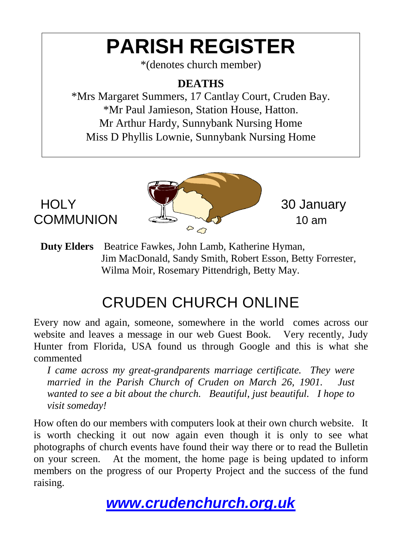# **PARISH REGISTER**

\*(denotes church member)

### **DEATHS**

\*Mrs Margaret Summers, 17 Cantlay Court, Cruden Bay. \*Mr Paul Jamieson, Station House, Hatton. Mr Arthur Hardy, Sunnybank Nursing Home Miss D Phyllis Lownie, Sunnybank Nursing Home



**Duty Elders** Beatrice Fawkes, John Lamb, Katherine Hyman, Jim MacDonald, Sandy Smith, Robert Esson, Betty Forrester, Wilma Moir, Rosemary Pittendrigh, Betty May.

# CRUDEN CHURCH ONLINE

Every now and again, someone, somewhere in the world comes across our website and leaves a message in our web Guest Book. Very recently, Judy Hunter from Florida, USA found us through Google and this is what she commented

*I came across my great-grandparents marriage certificate. They were married in the Parish Church of Cruden on March 26, 1901. Just wanted to see a bit about the church. Beautiful, just beautiful. I hope to visit someday!*

How often do our members with computers look at their own church website. It is worth checking it out now again even though it is only to see what photographs of church events have found their way there or to read the Bulletin on your screen. At the moment, the home page is being updated to inform members on the progress of our Property Project and the success of the fund raising.

*[www.crudenchurch.org.uk](http://www.crudenchurch.org.uk/)*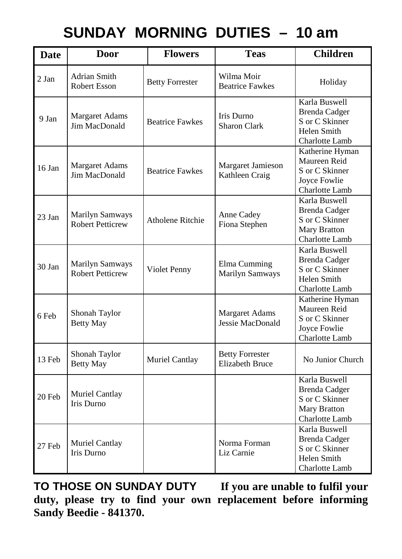# **SUNDAY MORNING DUTIES – 10 am**

| <b>Date</b> | Door                                              | <b>Flowers</b>          | <b>Teas</b>                                      | <b>Children</b>                                                                                  |
|-------------|---------------------------------------------------|-------------------------|--------------------------------------------------|--------------------------------------------------------------------------------------------------|
| $2$ Jan     | Adrian Smith<br>Robert Esson                      | <b>Betty Forrester</b>  | Wilma Moir<br><b>Beatrice Fawkes</b>             | Holiday                                                                                          |
| 9 Jan       | <b>Margaret Adams</b><br>Jim MacDonald            | <b>Beatrice Fawkes</b>  | Iris Durno<br><b>Sharon Clark</b>                | Karla Buswell<br><b>Brenda</b> Cadger<br>S or C Skinner<br>Helen Smith<br>Charlotte Lamb         |
| 16 Jan      | Margaret Adams<br>Jim MacDonald                   | <b>Beatrice Fawkes</b>  | Margaret Jamieson<br>Kathleen Craig              | Katherine Hyman<br>Maureen Reid<br>S or C Skinner<br>Joyce Fowlie<br>Charlotte Lamb              |
| $23$ Jan    | <b>Marilyn Samways</b><br><b>Robert Petticrew</b> | <b>Atholene Ritchie</b> | Anne Cadey<br>Fiona Stephen                      | Karla Buswell<br><b>Brenda Cadger</b><br>S or C Skinner<br>Mary Bratton<br>Charlotte Lamb        |
| $30$ Jan    | Marilyn Samways<br><b>Robert Petticrew</b>        | Violet Penny            | Elma Cumming<br>Marilyn Samways                  | Karla Buswell<br><b>Brenda</b> Cadger<br>S or C Skinner<br>Helen Smith<br>Charlotte Lamb         |
| 6 Feb       | Shonah Taylor<br><b>Betty May</b>                 |                         | <b>Margaret Adams</b><br>Jessie MacDonald        | Katherine Hyman<br>Maureen Reid<br>S or C Skinner<br>Joyce Fowlie<br>Charlotte Lamb              |
| 13 Feb      | Shonah Taylor<br><b>Betty May</b>                 | Muriel Cantlay          | <b>Betty Forrester</b><br><b>Elizabeth Bruce</b> | No Junior Church                                                                                 |
| 20 Feb      | Muriel Cantlay<br><b>Iris Durno</b>               |                         |                                                  | Karla Buswell<br><b>Brenda Cadger</b><br>S or C Skinner<br><b>Mary Bratton</b><br>Charlotte Lamb |
| 27 Feb      | Muriel Cantlay<br><b>Iris Durno</b>               |                         | Norma Forman<br>Liz Carnie                       | Karla Buswell<br><b>Brenda</b> Cadger<br>S or C Skinner<br>Helen Smith<br>Charlotte Lamb         |

**TO THOSE ON SUNDAY DUTY If you are unable to fulfil your duty, please try to find your own replacement before informing Sandy Beedie - 841370.**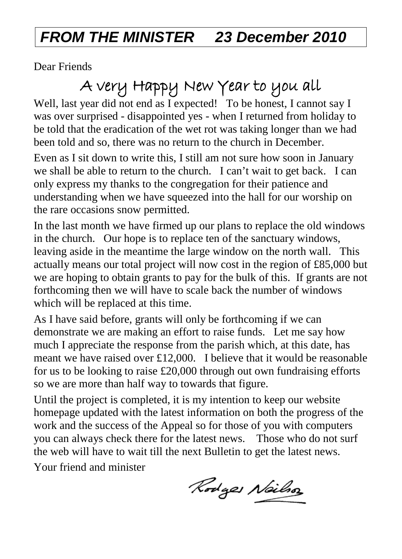# *FROM THE MINISTER 23 December 2010*

Dear Friends

# A very Happy New Year to you all

Well, last year did not end as I expected! To be honest, I cannot say I was over surprised - disappointed yes - when I returned from holiday to be told that the eradication of the wet rot was taking longer than we had been told and so, there was no return to the church in December.

Even as I sit down to write this, I still am not sure how soon in January we shall be able to return to the church. I can't wait to get back. I can only express my thanks to the congregation for their patience and understanding when we have squeezed into the hall for our worship on the rare occasions snow permitted.

In the last month we have firmed up our plans to replace the old windows in the church. Our hope is to replace ten of the sanctuary windows, leaving aside in the meantime the large window on the north wall. This actually means our total project will now cost in the region of £85,000 but we are hoping to obtain grants to pay for the bulk of this. If grants are not forthcoming then we will have to scale back the number of windows which will be replaced at this time.

As I have said before, grants will only be forthcoming if we can demonstrate we are making an effort to raise funds. Let me say how much I appreciate the response from the parish which, at this date, has meant we have raised over £12,000. I believe that it would be reasonable for us to be looking to raise £20,000 through out own fundraising efforts so we are more than half way to towards that figure.

Until the project is completed, it is my intention to keep our website homepage updated with the latest information on both the progress of the work and the success of the Appeal so for those of you with computers you can always check there for the latest news. Those who do not surf the web will have to wait till the next Bulletin to get the latest news.

Your friend and minister

Rodges Neilso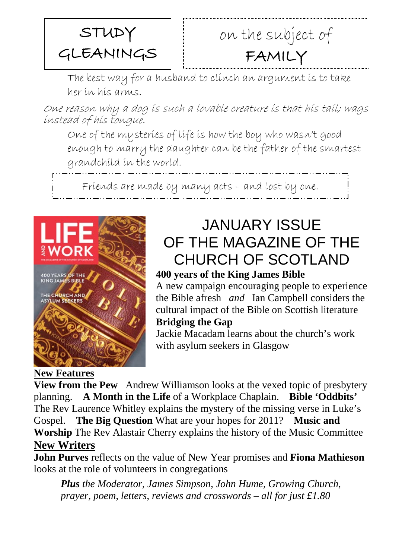

# on the subject of FAMILY

The best way for a husband to clinch an argument is to take her in his arms.

One reason why a dog is such a lovable creature is that his tail; wags instead of his tongue.

One of the mysteries of life is how the boy who wasn't good enough to marry the daughter can be the father of the smartest grandchild in the world.

Friends are made by many acts – and lost by one.



## JANUARY ISSUE OF THE MAGAZINE OF THE CHURCH OF SCOTLAND

#### **400 years of the King James Bible**

A new campaign encouraging people to experience the Bible afresh *and* Ian Campbell considers the cultural impact of the Bible on Scottish literature **Bridging the Gap**

Jackie Macadam learns about the church's work with asylum seekers in Glasgow

#### **New Features**

**View from the Pew** Andrew Williamson looks at the vexed topic of presbytery planning. **A Month in the Life** of a Workplace Chaplain. **Bible 'Oddbits'** The Rev Laurence Whitley explains the mystery of the missing verse in Luke's Gospel. **The Big Question** What are your hopes for 2011? **Music and Worship** The Rev Alastair Cherry explains the history of the Music Committee **New Writers**

**John Purves** reflects on the value of New Year promises and **Fiona Mathieson**  looks at the role of volunteers in congregations

*Plus the Moderator, James Simpson, John Hume, Growing Church, prayer, poem, letters, reviews and crosswords – all for just £1.80*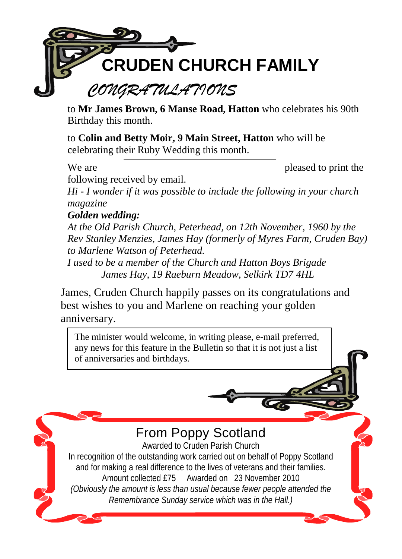

to **Mr James Brown, 6 Manse Road, Hatton** who celebrates his 90th Birthday this month.

to **Colin and Betty Moir, 9 Main Street, Hatton** who will be celebrating their Ruby Wedding this month.

We are pleased to print the

X

following received by email.

*Hi - I wonder if it was possible to include the following in your church magazine*

### *Golden wedding:*

*At the Old Parish Church, Peterhead, on 12th November, 1960 by the Rev Stanley Menzies, James Hay (formerly of Myres Farm, Cruden Bay) to Marlene Watson of Peterhead.*

*I used to be a member of the Church and Hatton Boys Brigade James Hay, 19 Raeburn Meadow, Selkirk TD7 4HL*

James, Cruden Church happily passes on its congratulations and best wishes to you and Marlene on reaching your golden anniversary.

The minister would welcome, in writing please, e-mail preferred, any news for this feature in the Bulletin so that it is not just a list of anniversaries and birthdays.

From Poppy Scotland

Awarded to Cruden Parish Church In recognition of the outstanding work carried out on behalf of Poppy Scotland and for making a real difference to the lives of veterans and their families. Amount collected £75 Awarded on 23 November 2010 *(Obviously the amount is less than usual because fewer people attended the Remembrance Sunday service which was in the Hall.)*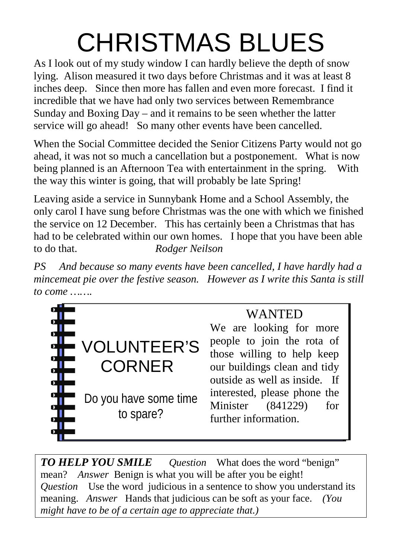# CHRISTMAS BLUES

As I look out of my study window I can hardly believe the depth of snow lying. Alison measured it two days before Christmas and it was at least 8 inches deep. Since then more has fallen and even more forecast. I find it incredible that we have had only two services between Remembrance Sunday and Boxing Day – and it remains to be seen whether the latter service will go ahead! So many other events have been cancelled.

When the Social Committee decided the Senior Citizens Party would not go ahead, it was not so much a cancellation but a postponement. What is now being planned is an Afternoon Tea with entertainment in the spring. With the way this winter is going, that will probably be late Spring!

Leaving aside a service in Sunnybank Home and a School Assembly, the only carol I have sung before Christmas was the one with which we finished the service on 12 December. This has certainly been a Christmas that has had to be celebrated within our own homes. I hope that you have been able to do that. *Rodger Neilson*

*PS And because so many events have been cancelled, I have hardly had a mincemeat pie over the festive season. However as I write this Santa is still to come …….*



### WANTED

We are looking for more people to join the rota of those willing to help keep our buildings clean and tidy outside as well as inside. If interested, please phone the Minister (841229) for further information.

*TO HELP YOU SMILE Question* What does the word "benign" mean? *Answer* Benign is what you will be after you be eight! *Question* Use the word judicious in a sentence to show you understand its meaning. *Answer* Hands that judicious can be soft as your face. *(You might have to be of a certain age to appreciate that.)*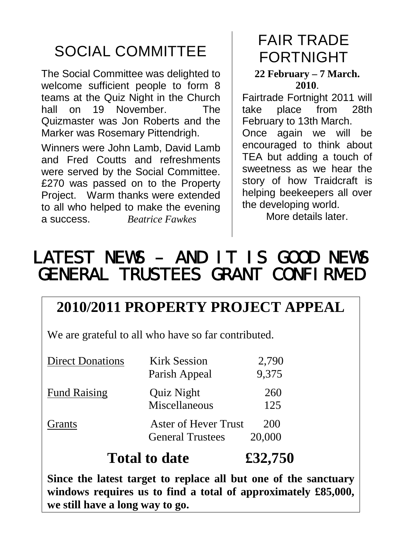# SOCIAL COMMITTEE

The Social Committee was delighted to welcome sufficient people to form 8 teams at the Quiz Night in the Church<br>hall on 19 November The  $h$ all on 19 November Quizmaster was Jon Roberts and the Marker was Rosemary Pittendrigh.

Winners were John Lamb, David Lamb and Fred Coutts and refreshments were served by the Social Committee. £270 was passed on to the Property Project. Warm thanks were extended to all who helped to make the evening a success. *Beatrice Fawkes*

# FAIR TRADE FORTNIGHT

#### **22 February – 7 March. 2010**.

Fairtrade Fortnight 2011 will take place from 28th February to 13th March.

Once again we will be encouraged to think about TEA but adding a touch of sweetness as we hear the story of how Traidcraft is helping beekeepers all over the developing world.

More details later

# LATEST NEWS – AND IT IS GOOD NEWS GENERAL TRUSTEES GRANT CONFIRMED

### **2010/2011 PROPERTY PROJECT APPEAL**

We are grateful to all who have so far contributed.

| <b>General Trustees</b>                                         |                |
|-----------------------------------------------------------------|----------------|
| Aster of Hever Trust<br>Grants                                  | 200<br>20,000  |
| <b>Fund Raising</b><br>Quiz Night<br>Miscellaneous              | 260<br>125     |
| <b>Kirk Session</b><br><b>Direct Donations</b><br>Parish Appeal | 2,790<br>9,375 |

**Since the latest target to replace all but one of the sanctuary windows requires us to find a total of approximately £85,000, we still have a long way to go.**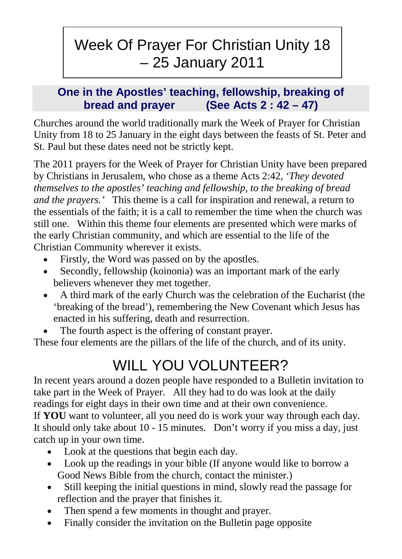# Week Of Prayer For Christian Unity 18 – 25 January 2011

### **One in the Apostles' teaching, fellowship, breaking of bread and prayer (See Acts 2 : 42 – 47)**

Churches around the world traditionally mark the Week of Prayer for Christian Unity from 18 to 25 January in the eight days between the feasts of St. Peter and St. Paul but these dates need not be strictly kept.

The 2011 prayers for the Week of Prayer for Christian Unity have been prepared by Christians in Jerusalem, who chose as a theme Acts 2:42, *'They devoted themselves to the apostles' teaching and fellowship, to the breaking of bread and the prayers.'* This theme is a call for inspiration and renewal, a return to the essentials of the faith; it is a call to remember the time when the church was still one. Within this theme four elements are presented which were marks of the early Christian community, and which are essential to the life of the Christian Community wherever it exists.

- Firstly, the Word was passed on by the apostles.
- Secondly, fellowship (koinonia) was an important mark of the early believers whenever they met together.
- A third mark of the early Church was the celebration of the Eucharist (the 'breaking of the bread'), remembering the New Covenant which Jesus has enacted in his suffering, death and resurrection.
- The fourth aspect is the offering of constant prayer.

These four elements are the pillars of the life of the church, and of its unity.

# WILL YOU VOLUNTEER?

In recent years around a dozen people have responded to a Bulletin invitation to take part in the Week of Prayer. All they had to do was look at the daily readings for eight days in their own time and at their own convenience. If **YOU** want to volunteer, all you need do is work your way through each day. It should only take about 10 - 15 minutes. Don't worry if you miss a day, just catch up in your own time.

- Look at the questions that begin each day.
- Look up the readings in your bible (If anyone would like to borrow a Good News Bible from the church, contact the minister.)
- Still keeping the initial questions in mind, slowly read the passage for reflection and the prayer that finishes it.
- Then spend a few moments in thought and prayer.
- Finally consider the invitation on the Bulletin page opposite